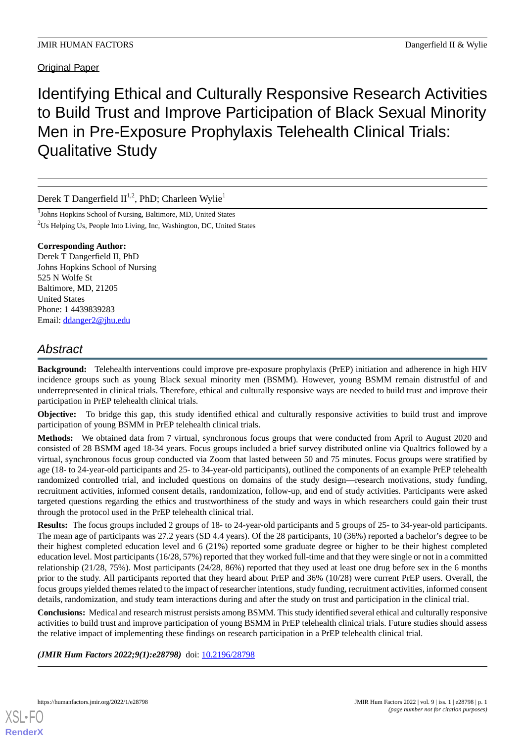# Original Paper

Identifying Ethical and Culturally Responsive Research Activities to Build Trust and Improve Participation of Black Sexual Minority Men in Pre-Exposure Prophylaxis Telehealth Clinical Trials: Qualitative Study

Derek T Dangerfield  $II^{1,2}$ , PhD; Charleen Wylie<sup>1</sup>

<sup>1</sup>Johns Hopkins School of Nursing, Baltimore, MD, United States <sup>2</sup>Us Helping Us, People Into Living, Inc, Washington, DC, United States

#### **Corresponding Author:**

Derek T Dangerfield II, PhD Johns Hopkins School of Nursing 525 N Wolfe St Baltimore, MD, 21205 United States Phone: 1 4439839283 Email: [ddanger2@jhu.edu](mailto:ddanger2@jhu.edu)

# *Abstract*

**Background:** Telehealth interventions could improve pre-exposure prophylaxis (PrEP) initiation and adherence in high HIV incidence groups such as young Black sexual minority men (BSMM). However, young BSMM remain distrustful of and underrepresented in clinical trials. Therefore, ethical and culturally responsive ways are needed to build trust and improve their participation in PrEP telehealth clinical trials.

**Objective:** To bridge this gap, this study identified ethical and culturally responsive activities to build trust and improve participation of young BSMM in PrEP telehealth clinical trials.

**Methods:** We obtained data from 7 virtual, synchronous focus groups that were conducted from April to August 2020 and consisted of 28 BSMM aged 18-34 years. Focus groups included a brief survey distributed online via Qualtrics followed by a virtual, synchronous focus group conducted via Zoom that lasted between 50 and 75 minutes. Focus groups were stratified by age (18- to 24-year-old participants and 25- to 34-year-old participants), outlined the components of an example PrEP telehealth randomized controlled trial, and included questions on domains of the study design—research motivations, study funding, recruitment activities, informed consent details, randomization, follow-up, and end of study activities. Participants were asked targeted questions regarding the ethics and trustworthiness of the study and ways in which researchers could gain their trust through the protocol used in the PrEP telehealth clinical trial.

**Results:** The focus groups included 2 groups of 18- to 24-year-old participants and 5 groups of 25- to 34-year-old participants. The mean age of participants was 27.2 years (SD 4.4 years). Of the 28 participants, 10 (36%) reported a bachelor's degree to be their highest completed education level and 6 (21%) reported some graduate degree or higher to be their highest completed education level. Most participants (16/28, 57%) reported that they worked full-time and that they were single or not in a committed relationship (21/28, 75%). Most participants (24/28, 86%) reported that they used at least one drug before sex in the 6 months prior to the study. All participants reported that they heard about PrEP and 36% (10/28) were current PrEP users. Overall, the focus groups yielded themes related to the impact of researcher intentions, study funding, recruitment activities, informed consent details, randomization, and study team interactions during and after the study on trust and participation in the clinical trial.

**Conclusions:** Medical and research mistrust persists among BSMM. This study identified several ethical and culturally responsive activities to build trust and improve participation of young BSMM in PrEP telehealth clinical trials. Future studies should assess the relative impact of implementing these findings on research participation in a PrEP telehealth clinical trial.

(JMIR Hum Factors 2022;9(1):e28798) doi: [10.2196/28798](http://dx.doi.org/10.2196/28798)

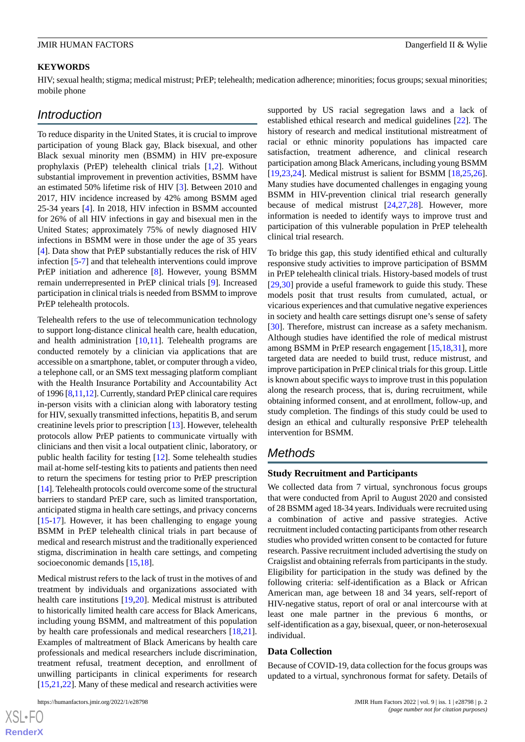## **KEYWORDS**

HIV; sexual health; stigma; medical mistrust; PrEP; telehealth; medication adherence; minorities; focus groups; sexual minorities; mobile phone

# *Introduction*

To reduce disparity in the United States, it is crucial to improve participation of young Black gay, Black bisexual, and other Black sexual minority men (BSMM) in HIV pre-exposure prophylaxis (PrEP) telehealth clinical trials [[1](#page-8-0)[,2](#page-8-1)]. Without substantial improvement in prevention activities, BSMM have an estimated 50% lifetime risk of HIV [\[3](#page-8-2)]. Between 2010 and 2017, HIV incidence increased by 42% among BSMM aged 25-34 years [\[4\]](#page-8-3). In 2018, HIV infection in BSMM accounted for 26% of all HIV infections in gay and bisexual men in the United States; approximately 75% of newly diagnosed HIV infections in BSMM were in those under the age of 35 years [[4\]](#page-8-3). Data show that PrEP substantially reduces the risk of HIV infection [[5](#page-8-4)[-7](#page-8-5)] and that telehealth interventions could improve PrEP initiation and adherence [[8\]](#page-8-6). However, young BSMM remain underrepresented in PrEP clinical trials [\[9](#page-8-7)]. Increased participation in clinical trials is needed from BSMM to improve PrEP telehealth protocols.

Telehealth refers to the use of telecommunication technology to support long-distance clinical health care, health education, and health administration  $[10,11]$  $[10,11]$  $[10,11]$ . Telehealth programs are conducted remotely by a clinician via applications that are accessible on a smartphone, tablet, or computer through a video, a telephone call, or an SMS text messaging platform compliant with the Health Insurance Portability and Accountability Act of 1996 [\[8](#page-8-6)[,11](#page-8-9),[12](#page-8-10)]. Currently, standard PrEP clinical care requires in-person visits with a clinician along with laboratory testing for HIV, sexually transmitted infections, hepatitis B, and serum creatinine levels prior to prescription [\[13](#page-8-11)]. However, telehealth protocols allow PrEP patients to communicate virtually with clinicians and then visit a local outpatient clinic, laboratory, or public health facility for testing [\[12](#page-8-10)]. Some telehealth studies mail at-home self-testing kits to patients and patients then need to return the specimens for testing prior to PrEP prescription [[14\]](#page-9-0). Telehealth protocols could overcome some of the structural barriers to standard PrEP care, such as limited transportation, anticipated stigma in health care settings, and privacy concerns [[15](#page-9-1)[-17](#page-9-2)]. However, it has been challenging to engage young BSMM in PrEP telehealth clinical trials in part because of medical and research mistrust and the traditionally experienced stigma, discrimination in health care settings, and competing socioeconomic demands [\[15](#page-9-1),[18\]](#page-9-3).

Medical mistrust refers to the lack of trust in the motives of and treatment by individuals and organizations associated with health care institutions [[19](#page-9-4)[,20](#page-9-5)]. Medical mistrust is attributed to historically limited health care access for Black Americans, including young BSMM, and maltreatment of this population by health care professionals and medical researchers [\[18](#page-9-3),[21\]](#page-9-6). Examples of maltreatment of Black Americans by health care professionals and medical researchers include discrimination, treatment refusal, treatment deception, and enrollment of unwilling participants in clinical experiments for research [[15](#page-9-1)[,21](#page-9-6),[22\]](#page-9-7). Many of these medical and research activities were

 $XS$ -FO **[RenderX](http://www.renderx.com/)** supported by US racial segregation laws and a lack of established ethical research and medical guidelines [\[22](#page-9-7)]. The history of research and medical institutional mistreatment of racial or ethnic minority populations has impacted care satisfaction, treatment adherence, and clinical research participation among Black Americans, including young BSMM [[19,](#page-9-4)[23,](#page-9-8)[24\]](#page-9-9). Medical mistrust is salient for BSMM [[18](#page-9-3)[,25](#page-9-10),[26\]](#page-9-11). Many studies have documented challenges in engaging young BSMM in HIV-prevention clinical trial research generally because of medical mistrust [\[24](#page-9-9),[27,](#page-9-12)[28](#page-9-13)]. However, more information is needed to identify ways to improve trust and participation of this vulnerable population in PrEP telehealth clinical trial research.

To bridge this gap, this study identified ethical and culturally responsive study activities to improve participation of BSMM in PrEP telehealth clinical trials. History-based models of trust [[29,](#page-9-14)[30\]](#page-9-15) provide a useful framework to guide this study. These models posit that trust results from cumulated, actual, or vicarious experiences and that cumulative negative experiences in society and health care settings disrupt one's sense of safety [[30\]](#page-9-15). Therefore, mistrust can increase as a safety mechanism. Although studies have identified the role of medical mistrust among BSMM in PrEP research engagement [[15](#page-9-1)[,18](#page-9-3),[31\]](#page-9-16), more targeted data are needed to build trust, reduce mistrust, and improve participation in PrEP clinical trials for this group. Little is known about specific ways to improve trust in this population along the research process, that is, during recruitment, while obtaining informed consent, and at enrollment, follow-up, and study completion. The findings of this study could be used to design an ethical and culturally responsive PrEP telehealth intervention for BSMM.

# *Methods*

#### **Study Recruitment and Participants**

We collected data from 7 virtual, synchronous focus groups that were conducted from April to August 2020 and consisted of 28 BSMM aged 18-34 years. Individuals were recruited using a combination of active and passive strategies. Active recruitment included contacting participants from other research studies who provided written consent to be contacted for future research. Passive recruitment included advertising the study on Craigslist and obtaining referrals from participants in the study. Eligibility for participation in the study was defined by the following criteria: self-identification as a Black or African American man, age between 18 and 34 years, self-report of HIV-negative status, report of oral or anal intercourse with at least one male partner in the previous 6 months, or self-identification as a gay, bisexual, queer, or non-heterosexual individual.

#### **Data Collection**

Because of COVID-19, data collection for the focus groups was updated to a virtual, synchronous format for safety. Details of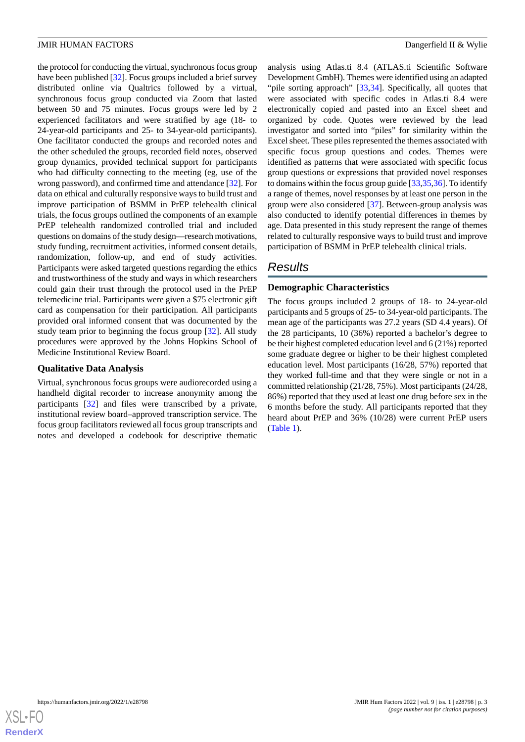the protocol for conducting the virtual, synchronous focus group have been published [\[32](#page-9-17)]. Focus groups included a brief survey distributed online via Qualtrics followed by a virtual, synchronous focus group conducted via Zoom that lasted between 50 and 75 minutes. Focus groups were led by 2 experienced facilitators and were stratified by age (18- to 24-year-old participants and 25- to 34-year-old participants). One facilitator conducted the groups and recorded notes and the other scheduled the groups, recorded field notes, observed group dynamics, provided technical support for participants who had difficulty connecting to the meeting (eg, use of the wrong password), and confirmed time and attendance [[32\]](#page-9-17). For data on ethical and culturally responsive ways to build trust and improve participation of BSMM in PrEP telehealth clinical trials, the focus groups outlined the components of an example PrEP telehealth randomized controlled trial and included questions on domains of the study design—research motivations, study funding, recruitment activities, informed consent details, randomization, follow-up, and end of study activities. Participants were asked targeted questions regarding the ethics and trustworthiness of the study and ways in which researchers could gain their trust through the protocol used in the PrEP telemedicine trial. Participants were given a \$75 electronic gift card as compensation for their participation. All participants provided oral informed consent that was documented by the study team prior to beginning the focus group [\[32](#page-9-17)]. All study procedures were approved by the Johns Hopkins School of Medicine Institutional Review Board.

#### **Qualitative Data Analysis**

Virtual, synchronous focus groups were audiorecorded using a handheld digital recorder to increase anonymity among the participants [\[32](#page-9-17)] and files were transcribed by a private, institutional review board–approved transcription service. The focus group facilitators reviewed all focus group transcripts and notes and developed a codebook for descriptive thematic

analysis using Atlas.ti 8.4 (ATLAS.ti Scientific Software Development GmbH). Themes were identified using an adapted "pile sorting approach" [[33,](#page-9-18)[34](#page-9-19)]. Specifically, all quotes that were associated with specific codes in Atlas.ti 8.4 were electronically copied and pasted into an Excel sheet and organized by code. Quotes were reviewed by the lead investigator and sorted into "piles" for similarity within the Excel sheet. These piles represented the themes associated with specific focus group questions and codes. Themes were identified as patterns that were associated with specific focus group questions or expressions that provided novel responses to domains within the focus group guide [[33](#page-9-18)[,35](#page-10-0),[36\]](#page-10-1). To identify a range of themes, novel responses by at least one person in the group were also considered [[37\]](#page-10-2). Between-group analysis was also conducted to identify potential differences in themes by age. Data presented in this study represent the range of themes related to culturally responsive ways to build trust and improve participation of BSMM in PrEP telehealth clinical trials.

# *Results*

#### **Demographic Characteristics**

The focus groups included 2 groups of 18- to 24-year-old participants and 5 groups of 25- to 34-year-old participants. The mean age of the participants was 27.2 years (SD 4.4 years). Of the 28 participants, 10 (36%) reported a bachelor's degree to be their highest completed education level and 6 (21%) reported some graduate degree or higher to be their highest completed education level. Most participants (16/28, 57%) reported that they worked full-time and that they were single or not in a committed relationship (21/28, 75%). Most participants (24/28, 86%) reported that they used at least one drug before sex in the 6 months before the study. All participants reported that they heard about PrEP and 36% (10/28) were current PrEP users ([Table 1](#page-3-0)).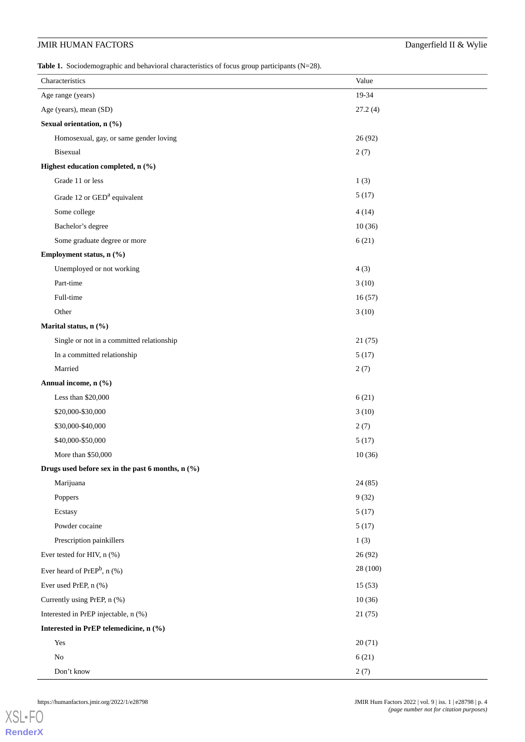<span id="page-3-0"></span>Table 1. Sociodemographic and behavioral characteristics of focus group participants (N=28).

| Characteristics                                   | Value    |
|---------------------------------------------------|----------|
| Age range (years)                                 | 19-34    |
| Age (years), mean (SD)                            | 27.2(4)  |
| Sexual orientation, n (%)                         |          |
| Homosexual, gay, or same gender loving            | 26(92)   |
| Bisexual                                          | 2(7)     |
| Highest education completed, n (%)                |          |
| Grade 11 or less                                  | 1(3)     |
| Grade 12 or GED <sup>a</sup> equivalent           | 5(17)    |
| Some college                                      | 4(14)    |
| Bachelor's degree                                 | 10(36)   |
| Some graduate degree or more                      | 6(21)    |
| Employment status, n (%)                          |          |
| Unemployed or not working                         | 4(3)     |
| Part-time                                         | 3(10)    |
| Full-time                                         | 16(57)   |
| Other                                             | 3(10)    |
| Marital status, n (%)                             |          |
| Single or not in a committed relationship         | 21(75)   |
| In a committed relationship                       | 5(17)    |
| Married                                           | 2(7)     |
| Annual income, n (%)                              |          |
| Less than \$20,000                                | 6(21)    |
| \$20,000-\$30,000                                 | 3(10)    |
| \$30,000-\$40,000                                 | 2(7)     |
| \$40,000-\$50,000                                 | 5(17)    |
| More than \$50,000                                | 10(36)   |
| Drugs used before sex in the past 6 months, n (%) |          |
| Marijuana                                         | 24(85)   |
| Poppers                                           | 9(32)    |
| Ecstasy                                           | 5(17)    |
| Powder cocaine                                    | 5(17)    |
| Prescription painkillers                          | 1(3)     |
| Ever tested for HIV, n (%)                        | 26(92)   |
| Ever heard of $PrEP^b$ , n $(\%)$                 | 28 (100) |
| Ever used PrEP, n (%)                             | 15(53)   |
| Currently using PrEP, n (%)                       | 10(36)   |
| Interested in PrEP injectable, n (%)              | 21(75)   |
| Interested in PrEP telemedicine, n (%)            |          |
| Yes                                               | 20(71)   |
| $\rm No$                                          | 6(21)    |
| Don't know                                        | 2(7)     |

[XSL](http://www.w3.org/Style/XSL)•FO **[RenderX](http://www.renderx.com/)**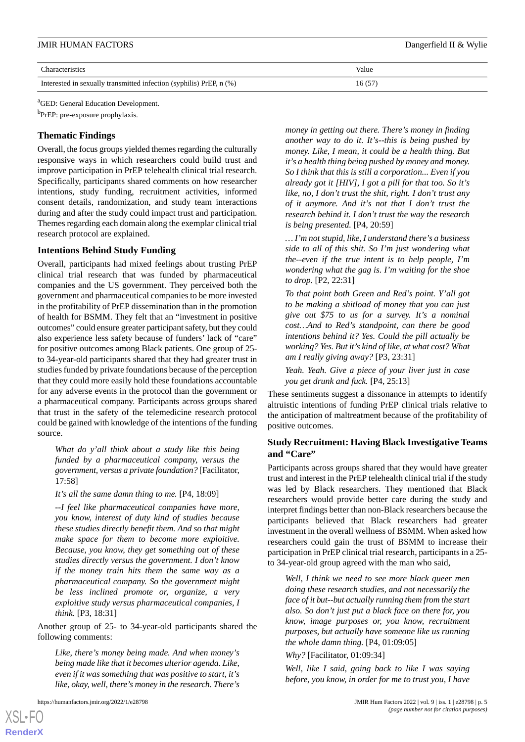| <b>JMIR HUMAN FACTORS</b>                                           | Dangerfield II & Wylie |
|---------------------------------------------------------------------|------------------------|
| Characteristics                                                     | Value                  |
| Interested in sexually transmitted infection (syphilis) PrEP, n (%) | 16(57)                 |

<sup>a</sup>GED: General Education Development.

<sup>b</sup>PrEP: pre-exposure prophylaxis.

## **Thematic Findings**

Overall, the focus groups yielded themes regarding the culturally responsive ways in which researchers could build trust and improve participation in PrEP telehealth clinical trial research. Specifically, participants shared comments on how researcher intentions, study funding, recruitment activities, informed consent details, randomization, and study team interactions during and after the study could impact trust and participation. Themes regarding each domain along the exemplar clinical trial research protocol are explained.

# **Intentions Behind Study Funding**

Overall, participants had mixed feelings about trusting PrEP clinical trial research that was funded by pharmaceutical companies and the US government. They perceived both the government and pharmaceutical companies to be more invested in the profitability of PrEP dissemination than in the promotion of health for BSMM. They felt that an "investment in positive outcomes" could ensure greater participant safety, but they could also experience less safety because of funders' lack of "care" for positive outcomes among Black patients. One group of 25 to 34-year-old participants shared that they had greater trust in studies funded by private foundations because of the perception that they could more easily hold these foundations accountable for any adverse events in the protocol than the government or a pharmaceutical company. Participants across groups shared that trust in the safety of the telemedicine research protocol could be gained with knowledge of the intentions of the funding source.

*What do y'all think about a study like this being funded by a pharmaceutical company, versus the government, versus a private foundation?* [Facilitator, 17:58]

*It's all the same damn thing to me.* [P4, 18:09]

*--I feel like pharmaceutical companies have more, you know, interest of duty kind of studies because these studies directly benefit them. And so that might make space for them to become more exploitive. Because, you know, they get something out of these studies directly versus the government. I don't know if the money train hits them the same way as a pharmaceutical company. So the government might be less inclined promote or, organize, a very exploitive study versus pharmaceutical companies, I think.* [P3, 18:31]

Another group of 25- to 34-year-old participants shared the following comments:

*Like, there's money being made. And when money's being made like that it becomes ulterior agenda. Like, even if it was something that was positive to start, it's like, okay, well, there's money in the research. There's*

*money in getting out there. There's money in finding another way to do it. It's--this is being pushed by money. Like, I mean, it could be a health thing. But it's a health thing being pushed by money and money. So I think that this is still a corporation... Even if you already got it [HIV], I got a pill for that too. So it's like, no, I don't trust the shit, right. I don't trust any of it anymore. And it's not that I don't trust the research behind it. I don't trust the way the research is being presented.* [P4, 20:59]

*… I'm not stupid, like, I understand there's a business side to all of this shit. So I'm just wondering what the--even if the true intent is to help people, I'm wondering what the gag is. I'm waiting for the shoe to drop.* [P2, 22:31]

*To that point both Green and Red's point. Y'all got to be making a shitload of money that you can just give out \$75 to us for a survey. It's a nominal cost…And to Red's standpoint, can there be good intentions behind it? Yes. Could the pill actually be working? Yes. But it's kind of like, at what cost? What am I really giving away?* [P3, 23:31]

*Yeah. Yeah. Give a piece of your liver just in case you get drunk and fuck.* [P4, 25:13]

These sentiments suggest a dissonance in attempts to identify altruistic intentions of funding PrEP clinical trials relative to the anticipation of maltreatment because of the profitability of positive outcomes.

# **Study Recruitment: Having Black Investigative Teams and "Care"**

Participants across groups shared that they would have greater trust and interest in the PrEP telehealth clinical trial if the study was led by Black researchers. They mentioned that Black researchers would provide better care during the study and interpret findings better than non-Black researchers because the participants believed that Black researchers had greater investment in the overall wellness of BSMM. When asked how researchers could gain the trust of BSMM to increase their participation in PrEP clinical trial research, participants in a 25 to 34-year-old group agreed with the man who said,

*Well, I think we need to see more black queer men doing these research studies, and not necessarily the face of it but--but actually running them from the start also. So don't just put a black face on there for, you know, image purposes or, you know, recruitment purposes, but actually have someone like us running the whole damn thing.* [P4, 01:09:05]

*Why?* [Facilitator, 01:09:34]

*Well, like I said, going back to like I was saying before, you know, in order for me to trust you, I have*

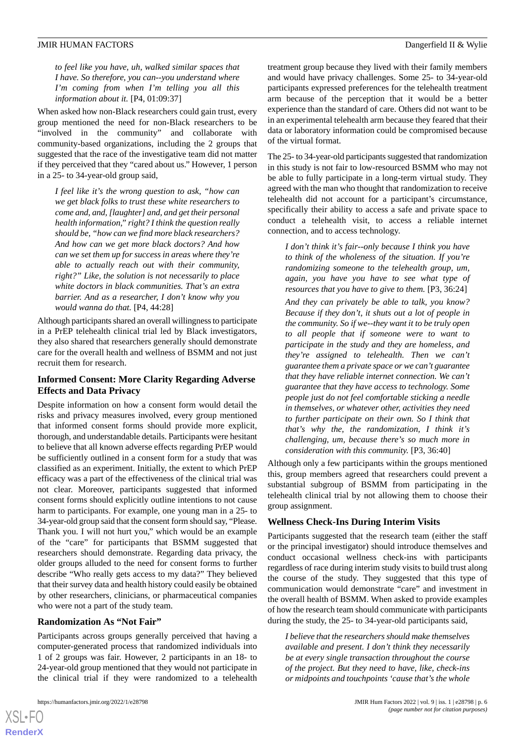*to feel like you have, uh, walked similar spaces that I have. So therefore, you can--you understand where I'm coming from when I'm telling you all this information about it.* [P4, 01:09:37]

When asked how non-Black researchers could gain trust, every group mentioned the need for non-Black researchers to be "involved in the community" and collaborate with community-based organizations, including the 2 groups that suggested that the race of the investigative team did not matter if they perceived that they "cared about us." However, 1 person in a 25- to 34-year-old group said,

*I feel like it's the wrong question to ask, "how can we get black folks to trust these white researchers to come and, and, [laughter] and, and get their personal health information," right? I think the question really should be, "how can we find more black researchers? And how can we get more black doctors? And how can we set them up for success in areas where they're able to actually reach out with their community, right?" Like, the solution is not necessarily to place white doctors in black communities. That's an extra barrier. And as a researcher, I don't know why you would wanna do that.* [P4, 44:28]

Although participants shared an overall willingness to participate in a PrEP telehealth clinical trial led by Black investigators, they also shared that researchers generally should demonstrate care for the overall health and wellness of BSMM and not just recruit them for research.

# **Informed Consent: More Clarity Regarding Adverse Effects and Data Privacy**

Despite information on how a consent form would detail the risks and privacy measures involved, every group mentioned that informed consent forms should provide more explicit, thorough, and understandable details. Participants were hesitant to believe that all known adverse effects regarding PrEP would be sufficiently outlined in a consent form for a study that was classified as an experiment. Initially, the extent to which PrEP efficacy was a part of the effectiveness of the clinical trial was not clear. Moreover, participants suggested that informed consent forms should explicitly outline intentions to not cause harm to participants. For example, one young man in a 25- to 34-year-old group said that the consent form should say, "Please. Thank you. I will not hurt you," which would be an example of the "care" for participants that BSMM suggested that researchers should demonstrate. Regarding data privacy, the older groups alluded to the need for consent forms to further describe "Who really gets access to my data?" They believed that their survey data and health history could easily be obtained by other researchers, clinicians, or pharmaceutical companies who were not a part of the study team.

## **Randomization As "Not Fair"**

Participants across groups generally perceived that having a computer-generated process that randomized individuals into 1 of 2 groups was fair. However, 2 participants in an 18- to 24-year-old group mentioned that they would not participate in the clinical trial if they were randomized to a telehealth

treatment group because they lived with their family members and would have privacy challenges. Some 25- to 34-year-old participants expressed preferences for the telehealth treatment arm because of the perception that it would be a better experience than the standard of care. Others did not want to be in an experimental telehealth arm because they feared that their data or laboratory information could be compromised because of the virtual format.

The 25- to 34-year-old participants suggested that randomization in this study is not fair to low-resourced BSMM who may not be able to fully participate in a long-term virtual study. They agreed with the man who thought that randomization to receive telehealth did not account for a participant's circumstance, specifically their ability to access a safe and private space to conduct a telehealth visit, to access a reliable internet connection, and to access technology.

*I don't think it's fair--only because I think you have to think of the wholeness of the situation. If you're randomizing someone to the telehealth group, um, again, you have you have to see what type of resources that you have to give to them.* [P3, 36:24]

*And they can privately be able to talk, you know? Because if they don't, it shuts out a lot of people in the community. So if we--they want it to be truly open to all people that if someone were to want to participate in the study and they are homeless, and they're assigned to telehealth. Then we can't guarantee them a private space or we can't guarantee that they have reliable internet connection. We can't guarantee that they have access to technology. Some people just do not feel comfortable sticking a needle in themselves, or whatever other, activities they need to further participate on their own. So I think that that's why the, the randomization, I think it's challenging, um, because there's so much more in consideration with this community.* [P3, 36:40]

Although only a few participants within the groups mentioned this, group members agreed that researchers could prevent a substantial subgroup of BSMM from participating in the telehealth clinical trial by not allowing them to choose their group assignment.

#### **Wellness Check-Ins During Interim Visits**

Participants suggested that the research team (either the staff or the principal investigator) should introduce themselves and conduct occasional wellness check-ins with participants regardless of race during interim study visits to build trust along the course of the study. They suggested that this type of communication would demonstrate "care" and investment in the overall health of BSMM. When asked to provide examples of how the research team should communicate with participants during the study, the 25- to 34-year-old participants said,

*I believe that the researchers should make themselves available and present. I don't think they necessarily be at every single transaction throughout the course of the project. But they need to have, like, check-ins or midpoints and touchpoints 'cause that's the whole*

```
XSL•FO
RenderX
```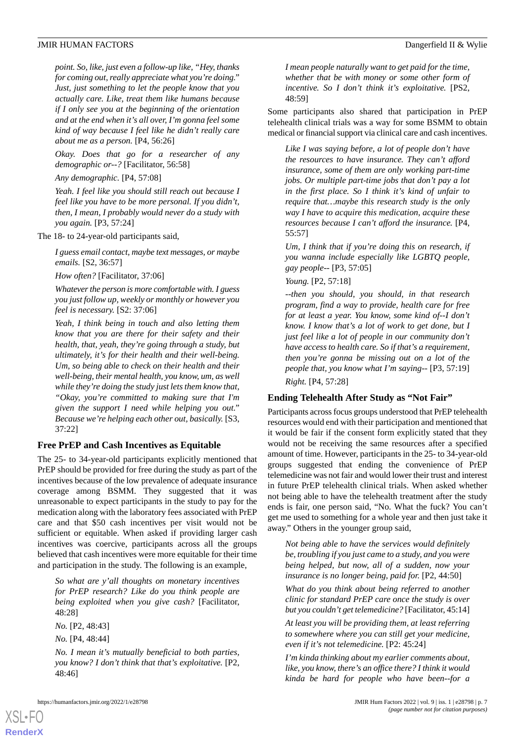*point. So, like, just even a follow-up like, "Hey, thanks for coming out, really appreciate what you're doing." Just, just something to let the people know that you actually care. Like, treat them like humans because if I only see you at the beginning of the orientation and at the end when it's all over, I'm gonna feel some kind of way because I feel like he didn't really care about me as a person.* [P4, 56:26]

*Okay. Does that go for a researcher of any demographic or--?* [Facilitator, 56:58]

*Any demographic.* [P4, 57:08]

*Yeah. I feel like you should still reach out because I feel like you have to be more personal. If you didn't, then, I mean, I probably would never do a study with you again.* [P3, 57:24]

The 18- to 24-year-old participants said,

*I guess email contact, maybe text messages, or maybe emails.* [S2, 36:57]

*How often?* [Facilitator, 37:06]

*Whatever the person is more comfortable with. I guess you just follow up, weekly or monthly or however you feel is necessary.* [S2: 37:06]

*Yeah, I think being in touch and also letting them know that you are there for their safety and their health, that, yeah, they're going through a study, but ultimately, it's for their health and their well-being. Um, so being able to check on their health and their well-being, their mental health, you know, um, as well while they're doing the study just lets them know that, "Okay, you're committed to making sure that I'm given the support I need while helping you out." Because we're helping each other out, basically.* [S3, 37:22]

#### **Free PrEP and Cash Incentives as Equitable**

The 25- to 34-year-old participants explicitly mentioned that PrEP should be provided for free during the study as part of the incentives because of the low prevalence of adequate insurance coverage among BSMM. They suggested that it was unreasonable to expect participants in the study to pay for the medication along with the laboratory fees associated with PrEP care and that \$50 cash incentives per visit would not be sufficient or equitable. When asked if providing larger cash incentives was coercive, participants across all the groups believed that cash incentives were more equitable for their time and participation in the study. The following is an example,

*So what are y'all thoughts on monetary incentives for PrEP research? Like do you think people are being exploited when you give cash?* [Facilitator, 48:28]

*No.* [P2, 48:43]

*No.* [P4, 48:44]

[XSL](http://www.w3.org/Style/XSL)•FO **[RenderX](http://www.renderx.com/)**

*No. I mean it's mutually beneficial to both parties, you know? I don't think that that's exploitative.* [P2, 48:46]

*I mean people naturally want to get paid for the time, whether that be with money or some other form of incentive. So I don't think it's exploitative.* [PS2, 48:59]

Some participants also shared that participation in PrEP telehealth clinical trials was a way for some BSMM to obtain medical or financial support via clinical care and cash incentives.

*Like I was saying before, a lot of people don't have the resources to have insurance. They can't afford insurance, some of them are only working part-time jobs. Or multiple part-time jobs that don't pay a lot in the first place. So I think it's kind of unfair to require that…maybe this research study is the only way I have to acquire this medication, acquire these resources because I can't afford the insurance.* [P4, 55:57]

*Um, I think that if you're doing this on research, if you wanna include especially like LGBTQ people, gay people--* [P3, 57:05]

*Young.* [P2, 57:18]

*--then you should, you should, in that research program, find a way to provide, health care for free for at least a year. You know, some kind of--I don't know. I know that's a lot of work to get done, but I just feel like a lot of people in our community don't have access to health care. So if that's a requirement, then you're gonna be missing out on a lot of the people that, you know what I'm saying--* [P3, 57:19] *Right.* [P4, 57:28]

**Ending Telehealth After Study as "Not Fair"**

Participants across focus groups understood that PrEP telehealth resources would end with their participation and mentioned that it would be fair if the consent form explicitly stated that they would not be receiving the same resources after a specified amount of time. However, participants in the 25- to 34-year-old groups suggested that ending the convenience of PrEP telemedicine was not fair and would lower their trust and interest in future PrEP telehealth clinical trials. When asked whether not being able to have the telehealth treatment after the study ends is fair, one person said, "No. What the fuck? You can't get me used to something for a whole year and then just take it away." Others in the younger group said,

*Not being able to have the services would definitely be, troubling if you just came to a study, and you were being helped, but now, all of a sudden, now your insurance is no longer being, paid for.* [P2, 44:50]

*What do you think about being referred to another clinic for standard PrEP care once the study is over but you couldn't get telemedicine?* [Facilitator, 45:14] *At least you will be providing them, at least referring to somewhere where you can still get your medicine, even if it's not telemedicine.* [P2: 45:24]

*I'm kinda thinking about my earlier comments about, like, you know, there's an office there? I think it would kinda be hard for people who have been--for a*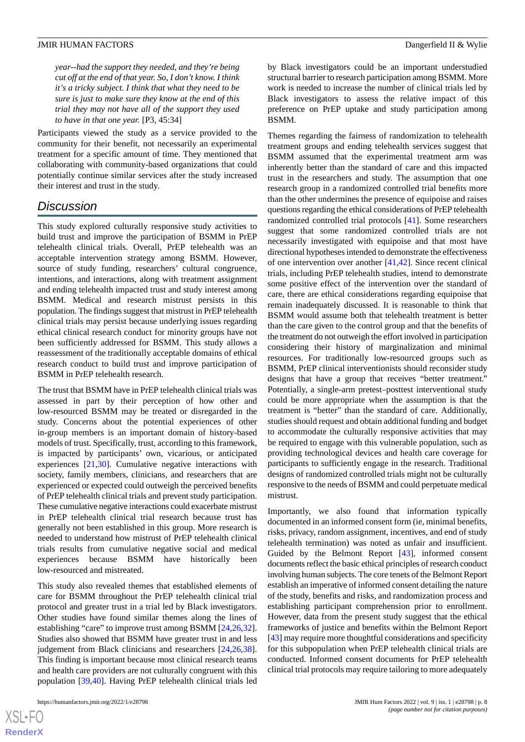*year--had the support they needed, and they're being cut off at the end of that year. So, I don't know. I think it's a tricky subject. I think that what they need to be sure is just to make sure they know at the end of this trial they may not have all of the support they used to have in that one year.* [P3, 45:34]

Participants viewed the study as a service provided to the community for their benefit, not necessarily an experimental treatment for a specific amount of time. They mentioned that collaborating with community-based organizations that could potentially continue similar services after the study increased their interest and trust in the study.

# *Discussion*

This study explored culturally responsive study activities to build trust and improve the participation of BSMM in PrEP telehealth clinical trials. Overall, PrEP telehealth was an acceptable intervention strategy among BSMM. However, source of study funding, researchers' cultural congruence, intentions, and interactions, along with treatment assignment and ending telehealth impacted trust and study interest among BSMM. Medical and research mistrust persists in this population. The findings suggest that mistrust in PrEP telehealth clinical trials may persist because underlying issues regarding ethical clinical research conduct for minority groups have not been sufficiently addressed for BSMM. This study allows a reassessment of the traditionally acceptable domains of ethical research conduct to build trust and improve participation of BSMM in PrEP telehealth research.

The trust that BSMM have in PrEP telehealth clinical trials was assessed in part by their perception of how other and low-resourced BSMM may be treated or disregarded in the study. Concerns about the potential experiences of other in-group members is an important domain of history-based models of trust. Specifically, trust, according to this framework, is impacted by participants' own, vicarious, or anticipated experiences [\[21](#page-9-6),[30\]](#page-9-15). Cumulative negative interactions with society, family members, clinicians, and researchers that are experienced or expected could outweigh the perceived benefits of PrEP telehealth clinical trials and prevent study participation. These cumulative negative interactions could exacerbate mistrust in PrEP telehealth clinical trial research because trust has generally not been established in this group. More research is needed to understand how mistrust of PrEP telehealth clinical trials results from cumulative negative social and medical experiences because BSMM have historically been low-resourced and mistreated.

This study also revealed themes that established elements of care for BSMM throughout the PrEP telehealth clinical trial protocol and greater trust in a trial led by Black investigators. Other studies have found similar themes along the lines of establishing "care" to improve trust among BSMM [[24](#page-9-9)[,26](#page-9-11),[32\]](#page-9-17). Studies also showed that BSMM have greater trust in and less judgement from Black clinicians and researchers [[24](#page-9-9)[,26](#page-9-11),[38\]](#page-10-3). This finding is important because most clinical research teams and health care providers are not culturally congruent with this population [\[39](#page-10-4),[40\]](#page-10-5). Having PrEP telehealth clinical trials led

by Black investigators could be an important understudied structural barrier to research participation among BSMM. More work is needed to increase the number of clinical trials led by Black investigators to assess the relative impact of this preference on PrEP uptake and study participation among BSMM.

Themes regarding the fairness of randomization to telehealth treatment groups and ending telehealth services suggest that BSMM assumed that the experimental treatment arm was inherently better than the standard of care and this impacted trust in the researchers and study. The assumption that one research group in a randomized controlled trial benefits more than the other undermines the presence of equipoise and raises questions regarding the ethical considerations of PrEP telehealth randomized controlled trial protocols [\[41](#page-10-6)]. Some researchers suggest that some randomized controlled trials are not necessarily investigated with equipoise and that most have directional hypotheses intended to demonstrate the effectiveness of one intervention over another [[41,](#page-10-6)[42](#page-10-7)]. Since recent clinical trials, including PrEP telehealth studies, intend to demonstrate some positive effect of the intervention over the standard of care, there are ethical considerations regarding equipoise that remain inadequately discussed. It is reasonable to think that BSMM would assume both that telehealth treatment is better than the care given to the control group and that the benefits of the treatment do not outweigh the effort involved in participation considering their history of marginalization and minimal resources. For traditionally low-resourced groups such as BSMM, PrEP clinical interventionists should reconsider study designs that have a group that receives "better treatment." Potentially, a single-arm pretest–posttest interventional study could be more appropriate when the assumption is that the treatment is "better" than the standard of care. Additionally, studies should request and obtain additional funding and budget to accommodate the culturally responsive activities that may be required to engage with this vulnerable population, such as providing technological devices and health care coverage for participants to sufficiently engage in the research. Traditional designs of randomized controlled trials might not be culturally responsive to the needs of BSMM and could perpetuate medical mistrust.

Importantly, we also found that information typically documented in an informed consent form (ie, minimal benefits, risks, privacy, random assignment, incentives, and end of study telehealth termination) was noted as unfair and insufficient. Guided by the Belmont Report [[43\]](#page-10-8), informed consent documents reflect the basic ethical principles of research conduct involving human subjects. The core tenets of the Belmont Report establish an imperative of informed consent detailing the nature of the study, benefits and risks, and randomization process and establishing participant comprehension prior to enrollment. However, data from the present study suggest that the ethical frameworks of justice and benefits within the Belmont Report [[43\]](#page-10-8) may require more thoughtful considerations and specificity for this subpopulation when PrEP telehealth clinical trials are conducted. Informed consent documents for PrEP telehealth clinical trial protocols may require tailoring to more adequately

 $XS$ -FO **[RenderX](http://www.renderx.com/)**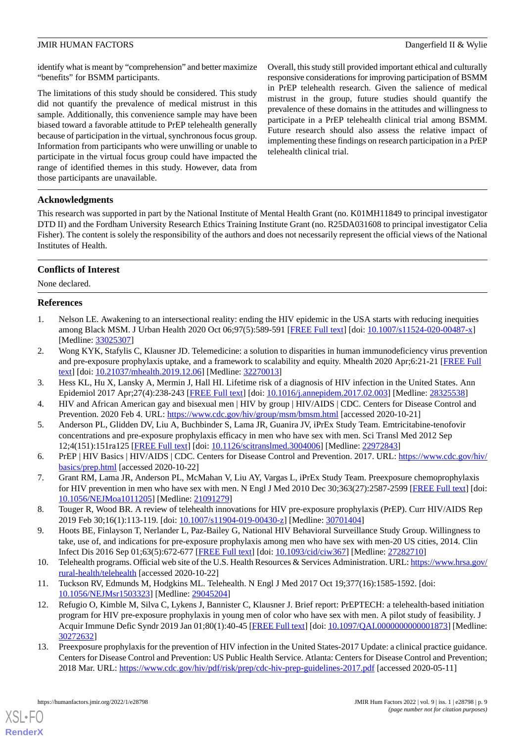identify what is meant by "comprehension" and better maximize "benefits" for BSMM participants.

The limitations of this study should be considered. This study did not quantify the prevalence of medical mistrust in this sample. Additionally, this convenience sample may have been biased toward a favorable attitude to PrEP telehealth generally because of participation in the virtual, synchronous focus group. Information from participants who were unwilling or unable to participate in the virtual focus group could have impacted the range of identified themes in this study. However, data from those participants are unavailable.

Overall, this study still provided important ethical and culturally responsive considerations for improving participation of BSMM in PrEP telehealth research. Given the salience of medical mistrust in the group, future studies should quantify the prevalence of these domains in the attitudes and willingness to participate in a PrEP telehealth clinical trial among BSMM. Future research should also assess the relative impact of implementing these findings on research participation in a PrEP telehealth clinical trial.

# **Acknowledgments**

This research was supported in part by the National Institute of Mental Health Grant (no. K01MH11849 to principal investigator DTD II) and the Fordham University Research Ethics Training Institute Grant (no. R25DA031608 to principal investigator Celia Fisher). The content is solely the responsibility of the authors and does not necessarily represent the official views of the National Institutes of Health.

# **Conflicts of Interest**

<span id="page-8-0"></span>None declared.

# **References**

- <span id="page-8-1"></span>1. Nelson LE. Awakening to an intersectional reality: ending the HIV epidemic in the USA starts with reducing inequities among Black MSM. J Urban Health 2020 Oct 06;97(5):589-591 [\[FREE Full text\]](http://europepmc.org/abstract/MED/33025307) [doi: [10.1007/s11524-020-00487-x](http://dx.doi.org/10.1007/s11524-020-00487-x)] [Medline: [33025307](http://www.ncbi.nlm.nih.gov/entrez/query.fcgi?cmd=Retrieve&db=PubMed&list_uids=33025307&dopt=Abstract)]
- <span id="page-8-3"></span><span id="page-8-2"></span>2. Wong KYK, Stafylis C, Klausner JD. Telemedicine: a solution to disparities in human immunodeficiency virus prevention and pre-exposure prophylaxis uptake, and a framework to scalability and equity. Mhealth 2020 Apr;6:21-21 [[FREE Full](https://doi.org/10.21037/mhealth.2019.12.06) [text](https://doi.org/10.21037/mhealth.2019.12.06)] [doi: [10.21037/mhealth.2019.12.06\]](http://dx.doi.org/10.21037/mhealth.2019.12.06) [Medline: [32270013](http://www.ncbi.nlm.nih.gov/entrez/query.fcgi?cmd=Retrieve&db=PubMed&list_uids=32270013&dopt=Abstract)]
- <span id="page-8-4"></span>3. Hess KL, Hu X, Lansky A, Mermin J, Hall HI. Lifetime risk of a diagnosis of HIV infection in the United States. Ann Epidemiol 2017 Apr;27(4):238-243 [\[FREE Full text\]](http://europepmc.org/abstract/MED/28325538) [doi: [10.1016/j.annepidem.2017.02.003\]](http://dx.doi.org/10.1016/j.annepidem.2017.02.003) [Medline: [28325538\]](http://www.ncbi.nlm.nih.gov/entrez/query.fcgi?cmd=Retrieve&db=PubMed&list_uids=28325538&dopt=Abstract)
- 4. HIV and African American gay and bisexual men | HIV by group | HIV/AIDS | CDC. Centers for Disease Control and Prevention. 2020 Feb 4. URL: <https://www.cdc.gov/hiv/group/msm/bmsm.html> [accessed 2020-10-21]
- <span id="page-8-5"></span>5. Anderson PL, Glidden DV, Liu A, Buchbinder S, Lama JR, Guanira JV, iPrEx Study Team. Emtricitabine-tenofovir concentrations and pre-exposure prophylaxis efficacy in men who have sex with men. Sci Transl Med 2012 Sep 12;4(151):151ra125 [\[FREE Full text\]](http://europepmc.org/abstract/MED/22972843) [doi: [10.1126/scitranslmed.3004006](http://dx.doi.org/10.1126/scitranslmed.3004006)] [Medline: [22972843](http://www.ncbi.nlm.nih.gov/entrez/query.fcgi?cmd=Retrieve&db=PubMed&list_uids=22972843&dopt=Abstract)]
- <span id="page-8-6"></span>6. PrEP | HIV Basics | HIV/AIDS | CDC. Centers for Disease Control and Prevention. 2017. URL: [https://www.cdc.gov/hiv/](https://www.cdc.gov/hiv/basics/prep.html) [basics/prep.html](https://www.cdc.gov/hiv/basics/prep.html) [accessed 2020-10-22]
- <span id="page-8-7"></span>7. Grant RM, Lama JR, Anderson PL, McMahan V, Liu AY, Vargas L, iPrEx Study Team. Preexposure chemoprophylaxis for HIV prevention in men who have sex with men. N Engl J Med 2010 Dec 30;363(27):2587-2599 [\[FREE Full text](http://europepmc.org/abstract/MED/21091279)] [doi: [10.1056/NEJMoa1011205](http://dx.doi.org/10.1056/NEJMoa1011205)] [Medline: [21091279](http://www.ncbi.nlm.nih.gov/entrez/query.fcgi?cmd=Retrieve&db=PubMed&list_uids=21091279&dopt=Abstract)]
- <span id="page-8-8"></span>8. Touger R, Wood BR. A review of telehealth innovations for HIV pre-exposure prophylaxis (PrEP). Curr HIV/AIDS Rep 2019 Feb 30;16(1):113-119. [doi: [10.1007/s11904-019-00430-z](http://dx.doi.org/10.1007/s11904-019-00430-z)] [Medline: [30701404\]](http://www.ncbi.nlm.nih.gov/entrez/query.fcgi?cmd=Retrieve&db=PubMed&list_uids=30701404&dopt=Abstract)
- <span id="page-8-10"></span><span id="page-8-9"></span>9. Hoots BE, Finlayson T, Nerlander L, Paz-Bailey G, National HIV Behavioral Surveillance Study Group. Willingness to take, use of, and indications for pre-exposure prophylaxis among men who have sex with men-20 US cities, 2014. Clin Infect Dis 2016 Sep 01;63(5):672-677 [\[FREE Full text\]](http://europepmc.org/abstract/MED/27282710) [doi: [10.1093/cid/ciw367](http://dx.doi.org/10.1093/cid/ciw367)] [Medline: [27282710](http://www.ncbi.nlm.nih.gov/entrez/query.fcgi?cmd=Retrieve&db=PubMed&list_uids=27282710&dopt=Abstract)]
- 10. Telehealth programs. Official web site of the U.S. Health Resources & Services Administration. URL: [https://www.hrsa.gov/](https://www.hrsa.gov/rural-health/telehealth) [rural-health/telehealth](https://www.hrsa.gov/rural-health/telehealth) [accessed 2020-10-22]
- <span id="page-8-11"></span>11. Tuckson RV, Edmunds M, Hodgkins ML. Telehealth. N Engl J Med 2017 Oct 19;377(16):1585-1592. [doi: [10.1056/NEJMsr1503323](http://dx.doi.org/10.1056/NEJMsr1503323)] [Medline: [29045204\]](http://www.ncbi.nlm.nih.gov/entrez/query.fcgi?cmd=Retrieve&db=PubMed&list_uids=29045204&dopt=Abstract)
- 12. Refugio O, Kimble M, Silva C, Lykens J, Bannister C, Klausner J. Brief report: PrEPTECH: a telehealth-based initiation program for HIV pre-exposure prophylaxis in young men of color who have sex with men. A pilot study of feasibility. J Acquir Immune Defic Syndr 2019 Jan 01;80(1):40-45 [[FREE Full text\]](http://europepmc.org/abstract/MED/30272632) [doi: [10.1097/QAI.0000000000001873\]](http://dx.doi.org/10.1097/QAI.0000000000001873) [Medline: [30272632](http://www.ncbi.nlm.nih.gov/entrez/query.fcgi?cmd=Retrieve&db=PubMed&list_uids=30272632&dopt=Abstract)]
- 13. Preexposure prophylaxis for the prevention of HIV infection in the United States-2017 Update: a clinical practice guidance. Centers for Disease Control and Prevention: US Public Health Service. Atlanta: Centers for Disease Control and Prevention; 2018 Mar. URL:<https://www.cdc.gov/hiv/pdf/risk/prep/cdc-hiv-prep-guidelines-2017.pdf> [accessed 2020-05-11]

[XSL](http://www.w3.org/Style/XSL)•FO **[RenderX](http://www.renderx.com/)**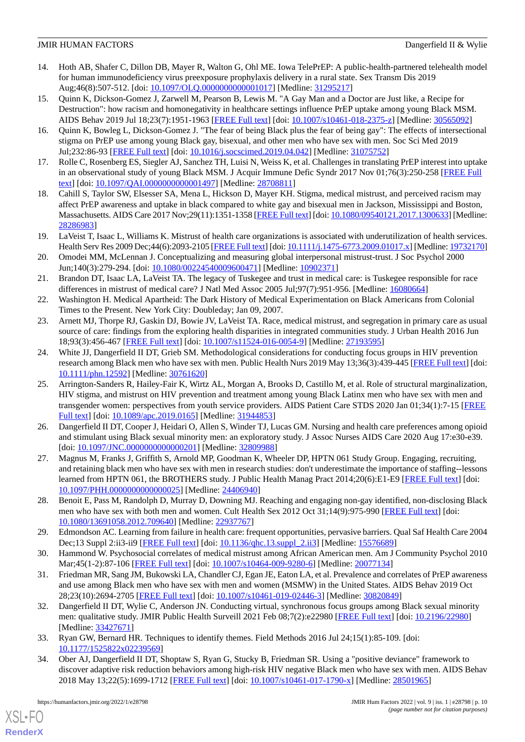- <span id="page-9-0"></span>14. Hoth AB, Shafer C, Dillon DB, Mayer R, Walton G, Ohl ME. Iowa TelePrEP: A public-health-partnered telehealth model for human immunodeficiency virus preexposure prophylaxis delivery in a rural state. Sex Transm Dis 2019 Aug;46(8):507-512. [doi: [10.1097/OLQ.0000000000001017](http://dx.doi.org/10.1097/OLQ.0000000000001017)] [Medline: [31295217\]](http://www.ncbi.nlm.nih.gov/entrez/query.fcgi?cmd=Retrieve&db=PubMed&list_uids=31295217&dopt=Abstract)
- <span id="page-9-1"></span>15. Quinn K, Dickson-Gomez J, Zarwell M, Pearson B, Lewis M. "A Gay Man and a Doctor are Just like, a Recipe for Destruction": how racism and homonegativity in healthcare settings influence PrEP uptake among young Black MSM. AIDS Behav 2019 Jul 18;23(7):1951-1963 [\[FREE Full text\]](http://europepmc.org/abstract/MED/30565092) [doi: [10.1007/s10461-018-2375-z](http://dx.doi.org/10.1007/s10461-018-2375-z)] [Medline: [30565092](http://www.ncbi.nlm.nih.gov/entrez/query.fcgi?cmd=Retrieve&db=PubMed&list_uids=30565092&dopt=Abstract)]
- 16. Quinn K, Bowleg L, Dickson-Gomez J. "The fear of being Black plus the fear of being gay": The effects of intersectional stigma on PrEP use among young Black gay, bisexual, and other men who have sex with men. Soc Sci Med 2019 Jul;232:86-93 [[FREE Full text](http://europepmc.org/abstract/MED/31075752)] [doi: [10.1016/j.socscimed.2019.04.042](http://dx.doi.org/10.1016/j.socscimed.2019.04.042)] [Medline: [31075752](http://www.ncbi.nlm.nih.gov/entrez/query.fcgi?cmd=Retrieve&db=PubMed&list_uids=31075752&dopt=Abstract)]
- <span id="page-9-3"></span><span id="page-9-2"></span>17. Rolle C, Rosenberg ES, Siegler AJ, Sanchez TH, Luisi N, Weiss K, et al. Challenges in translating PrEP interest into uptake in an observational study of young Black MSM. J Acquir Immune Defic Syndr 2017 Nov 01;76(3):250-258 [\[FREE Full](http://europepmc.org/abstract/MED/28708811) [text](http://europepmc.org/abstract/MED/28708811)] [doi: 10.1097/QAI.000000000001497] [Medline: [28708811\]](http://www.ncbi.nlm.nih.gov/entrez/query.fcgi?cmd=Retrieve&db=PubMed&list_uids=28708811&dopt=Abstract)
- <span id="page-9-4"></span>18. Cahill S, Taylor SW, Elsesser SA, Mena L, Hickson D, Mayer KH. Stigma, medical mistrust, and perceived racism may affect PrEP awareness and uptake in black compared to white gay and bisexual men in Jackson, Mississippi and Boston, Massachusetts. AIDS Care 2017 Nov; 29(11): 1351-1358 [\[FREE Full text\]](http://europepmc.org/abstract/MED/28286983) [doi: [10.1080/09540121.2017.1300633\]](http://dx.doi.org/10.1080/09540121.2017.1300633) [Medline: [28286983](http://www.ncbi.nlm.nih.gov/entrez/query.fcgi?cmd=Retrieve&db=PubMed&list_uids=28286983&dopt=Abstract)]
- <span id="page-9-5"></span>19. LaVeist T, Isaac L, Williams K. Mistrust of health care organizations is associated with underutilization of health services. Health Serv Res 2009 Dec;44(6):2093-2105 [[FREE Full text\]](http://europepmc.org/abstract/MED/19732170) [doi: [10.1111/j.1475-6773.2009.01017.x\]](http://dx.doi.org/10.1111/j.1475-6773.2009.01017.x) [Medline: [19732170\]](http://www.ncbi.nlm.nih.gov/entrez/query.fcgi?cmd=Retrieve&db=PubMed&list_uids=19732170&dopt=Abstract)
- <span id="page-9-6"></span>20. Omodei MM, McLennan J. Conceptualizing and measuring global interpersonal mistrust-trust. J Soc Psychol 2000 Jun;140(3):279-294. [doi: [10.1080/00224540009600471\]](http://dx.doi.org/10.1080/00224540009600471) [Medline: [10902371](http://www.ncbi.nlm.nih.gov/entrez/query.fcgi?cmd=Retrieve&db=PubMed&list_uids=10902371&dopt=Abstract)]
- <span id="page-9-7"></span>21. Brandon DT, Isaac LA, LaVeist TA. The legacy of Tuskegee and trust in medical care: is Tuskegee responsible for race differences in mistrust of medical care? J Natl Med Assoc 2005 Jul;97(7):951-956. [Medline: [16080664](http://www.ncbi.nlm.nih.gov/entrez/query.fcgi?cmd=Retrieve&db=PubMed&list_uids=16080664&dopt=Abstract)]
- <span id="page-9-8"></span>22. Washington H. Medical Apartheid: The Dark History of Medical Experimentation on Black Americans from Colonial Times to the Present. New York City: Doubleday; Jan 09, 2007.
- <span id="page-9-9"></span>23. Arnett MJ, Thorpe RJ, Gaskin DJ, Bowie JV, LaVeist TA. Race, medical mistrust, and segregation in primary care as usual source of care: findings from the exploring health disparities in integrated communities study. J Urban Health 2016 Jun 18;93(3):456-467 [[FREE Full text](http://europepmc.org/abstract/MED/27193595)] [doi: [10.1007/s11524-016-0054-9\]](http://dx.doi.org/10.1007/s11524-016-0054-9) [Medline: [27193595](http://www.ncbi.nlm.nih.gov/entrez/query.fcgi?cmd=Retrieve&db=PubMed&list_uids=27193595&dopt=Abstract)]
- <span id="page-9-10"></span>24. White JJ, Dangerfield II DT, Grieb SM. Methodological considerations for conducting focus groups in HIV prevention research among Black men who have sex with men. Public Health Nurs 2019 May 13;36(3):439-445 [[FREE Full text](http://europepmc.org/abstract/MED/30761620)] [doi: [10.1111/phn.12592](http://dx.doi.org/10.1111/phn.12592)] [Medline: [30761620](http://www.ncbi.nlm.nih.gov/entrez/query.fcgi?cmd=Retrieve&db=PubMed&list_uids=30761620&dopt=Abstract)]
- <span id="page-9-11"></span>25. Arrington-Sanders R, Hailey-Fair K, Wirtz AL, Morgan A, Brooks D, Castillo M, et al. Role of structural marginalization, HIV stigma, and mistrust on HIV prevention and treatment among young Black Latinx men who have sex with men and transgender women: perspectives from youth service providers. AIDS Patient Care STDS 2020 Jan 01;34(1):7-15 [\[FREE](http://europepmc.org/abstract/MED/31944853) [Full text\]](http://europepmc.org/abstract/MED/31944853) [doi: [10.1089/apc.2019.0165](http://dx.doi.org/10.1089/apc.2019.0165)] [Medline: [31944853](http://www.ncbi.nlm.nih.gov/entrez/query.fcgi?cmd=Retrieve&db=PubMed&list_uids=31944853&dopt=Abstract)]
- <span id="page-9-12"></span>26. Dangerfield II DT, Cooper J, Heidari O, Allen S, Winder TJ, Lucas GM. Nursing and health care preferences among opioid and stimulant using Black sexual minority men: an exploratory study. J Assoc Nurses AIDS Care 2020 Aug 17:e30-e39. [doi: [10.1097/JNC.0000000000000201\]](http://dx.doi.org/10.1097/JNC.0000000000000201) [Medline: [32809988](http://www.ncbi.nlm.nih.gov/entrez/query.fcgi?cmd=Retrieve&db=PubMed&list_uids=32809988&dopt=Abstract)]
- <span id="page-9-13"></span>27. Magnus M, Franks J, Griffith S, Arnold MP, Goodman K, Wheeler DP, HPTN 061 Study Group. Engaging, recruiting, and retaining black men who have sex with men in research studies: don't underestimate the importance of staffing--lessons learned from HPTN 061, the BROTHERS study. J Public Health Manag Pract 2014;20(6):E1-E9 [\[FREE Full text\]](http://europepmc.org/abstract/MED/24406940) [doi: [10.1097/PHH.0000000000000025](http://dx.doi.org/10.1097/PHH.0000000000000025)] [Medline: [24406940](http://www.ncbi.nlm.nih.gov/entrez/query.fcgi?cmd=Retrieve&db=PubMed&list_uids=24406940&dopt=Abstract)]
- <span id="page-9-15"></span><span id="page-9-14"></span>28. Benoit E, Pass M, Randolph D, Murray D, Downing MJ. Reaching and engaging non-gay identified, non-disclosing Black men who have sex with both men and women. Cult Health Sex 2012 Oct 31;14(9):975-990 [\[FREE Full text\]](http://europepmc.org/abstract/MED/22937767) [doi: [10.1080/13691058.2012.709640\]](http://dx.doi.org/10.1080/13691058.2012.709640) [Medline: [22937767\]](http://www.ncbi.nlm.nih.gov/entrez/query.fcgi?cmd=Retrieve&db=PubMed&list_uids=22937767&dopt=Abstract)
- <span id="page-9-16"></span>29. Edmondson AC. Learning from failure in health care: frequent opportunities, pervasive barriers. Qual Saf Health Care 2004 Dec;13 Suppl 2:ii3-ii9 [[FREE Full text](https://qhc.bmj.com/lookup/pmidlookup?view=long&pmid=15576689)] [doi: [10.1136/qhc.13.suppl\\_2.ii3\]](http://dx.doi.org/10.1136/qhc.13.suppl_2.ii3) [Medline: [15576689\]](http://www.ncbi.nlm.nih.gov/entrez/query.fcgi?cmd=Retrieve&db=PubMed&list_uids=15576689&dopt=Abstract)
- <span id="page-9-17"></span>30. Hammond W. Psychosocial correlates of medical mistrust among African American men. Am J Community Psychol 2010 Mar;45(1-2):87-106 [[FREE Full text](http://europepmc.org/abstract/MED/20077134)] [doi: [10.1007/s10464-009-9280-6\]](http://dx.doi.org/10.1007/s10464-009-9280-6) [Medline: [20077134](http://www.ncbi.nlm.nih.gov/entrez/query.fcgi?cmd=Retrieve&db=PubMed&list_uids=20077134&dopt=Abstract)]
- <span id="page-9-18"></span>31. Friedman MR, Sang JM, Bukowski LA, Chandler CJ, Egan JE, Eaton LA, et al. Prevalence and correlates of PrEP awareness and use among Black men who have sex with men and women (MSMW) in the United States. AIDS Behav 2019 Oct 28;23(10):2694-2705 [[FREE Full text](http://europepmc.org/abstract/MED/30820849)] [doi: [10.1007/s10461-019-02446-3\]](http://dx.doi.org/10.1007/s10461-019-02446-3) [Medline: [30820849](http://www.ncbi.nlm.nih.gov/entrez/query.fcgi?cmd=Retrieve&db=PubMed&list_uids=30820849&dopt=Abstract)]
- <span id="page-9-19"></span>32. Dangerfield II DT, Wylie C, Anderson JN. Conducting virtual, synchronous focus groups among Black sexual minority men: qualitative study. JMIR Public Health Surveill 2021 Feb 08;7(2):e22980 [\[FREE Full text\]](https://publichealth.jmir.org/2021/2/e22980/) [doi: [10.2196/22980](http://dx.doi.org/10.2196/22980)] [Medline: [33427671](http://www.ncbi.nlm.nih.gov/entrez/query.fcgi?cmd=Retrieve&db=PubMed&list_uids=33427671&dopt=Abstract)]
- 33. Ryan GW, Bernard HR. Techniques to identify themes. Field Methods 2016 Jul 24;15(1):85-109. [doi: [10.1177/1525822x02239569\]](http://dx.doi.org/10.1177/1525822x02239569)
- 34. Ober AJ, Dangerfield II DT, Shoptaw S, Ryan G, Stucky B, Friedman SR. Using a "positive deviance" framework to discover adaptive risk reduction behaviors among high-risk HIV negative Black men who have sex with men. AIDS Behav 2018 May 13;22(5):1699-1712 [\[FREE Full text\]](http://europepmc.org/abstract/MED/28501965) [doi: [10.1007/s10461-017-1790-x](http://dx.doi.org/10.1007/s10461-017-1790-x)] [Medline: [28501965\]](http://www.ncbi.nlm.nih.gov/entrez/query.fcgi?cmd=Retrieve&db=PubMed&list_uids=28501965&dopt=Abstract)

[XSL](http://www.w3.org/Style/XSL)•FO **[RenderX](http://www.renderx.com/)**